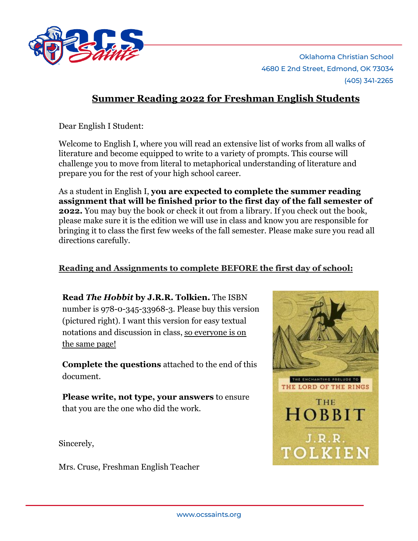

Oklahoma Christian School 4680 E 2nd Street, Edmond, OK 73034 (405) 341-2265

# **Summer Reading 2022 for Freshman English Students**

Dear English I Student:

Welcome to English I, where you will read an extensive list of works from all walks of literature and become equipped to write to a variety of prompts. This course will challenge you to move from literal to metaphorical understanding of literature and prepare you for the rest of your high school career.

As a student in English I, **you are expected to complete the summer reading assignment that will be finished prior to the first day of the fall semester of 2022.** You may buy the book or check it out from a library. If you check out the book, please make sure it is the edition we will use in class and know you are responsible for bringing it to class the first few weeks of the fall semester. Please make sure you read all directions carefully.

## **Reading and Assignments to complete BEFORE the first day of school:**

**Read** *The Hobbit* **by J.R.R. Tolkien.** The ISBN number is 978-0-345-33968-3. Please buy this version (pictured right). I want this version for easy textual notations and discussion in class, so everyone is on the same page!

**Complete the questions** attached to the end of this document.

**Please write, not type, your answers** to ensure that you are the one who did the work.

Sincerely,

Mrs. Cruse, Freshman English Teacher

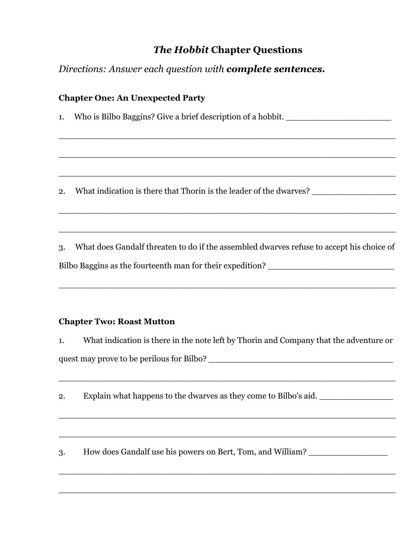# *The Hobbit* **Chapter Questions**

\_\_\_\_\_\_\_\_\_\_\_\_\_\_\_\_\_\_\_\_\_\_\_\_\_\_\_\_\_\_\_\_\_\_\_\_\_\_\_\_\_\_\_\_\_\_\_\_\_\_\_\_\_\_\_\_\_\_\_\_\_\_\_\_

\_\_\_\_\_\_\_\_\_\_\_\_\_\_\_\_\_\_\_\_\_\_\_\_\_\_\_\_\_\_\_\_\_\_\_\_\_\_\_\_\_\_\_\_\_\_\_\_\_\_\_\_\_\_\_\_\_\_\_\_\_\_\_\_

\_\_\_\_\_\_\_\_\_\_\_\_\_\_\_\_\_\_\_\_\_\_\_\_\_\_\_\_\_\_\_\_\_\_\_\_\_\_\_\_\_\_\_\_\_\_\_\_\_\_\_\_\_\_\_\_\_\_\_\_\_\_\_\_

\_\_\_\_\_\_\_\_\_\_\_\_\_\_\_\_\_\_\_\_\_\_\_\_\_\_\_\_\_\_\_\_\_\_\_\_\_\_\_\_\_\_\_\_\_\_\_\_\_\_\_\_\_\_\_\_\_\_\_\_\_\_\_\_

\_\_\_\_\_\_\_\_\_\_\_\_\_\_\_\_\_\_\_\_\_\_\_\_\_\_\_\_\_\_\_\_\_\_\_\_\_\_\_\_\_\_\_\_\_\_\_\_\_\_\_\_\_\_\_\_\_\_\_\_\_\_\_\_

# *Directions: Answer each question with complete sentences.*

# **Chapter One: An Unexpected Party**

1. Who is Bilbo Baggins? Give a brief description of a hobbit.

2. What indication is there that Thorin is the leader of the dwarves? \_\_\_\_\_\_\_\_\_\_\_\_\_\_\_\_

3. What does Gandalf threaten to do if the assembled dwarves refuse to accept his choice of Bilbo Baggins as the fourteenth man for their expedition? \_\_\_\_\_\_\_\_\_\_\_\_\_\_\_\_\_\_\_\_\_\_\_

\_\_\_\_\_\_\_\_\_\_\_\_\_\_\_\_\_\_\_\_\_\_\_\_\_\_\_\_\_\_\_\_\_\_\_\_\_\_\_\_\_\_\_\_\_\_\_\_\_\_\_\_\_\_\_\_\_\_\_\_\_\_\_\_

#### **Chapter Two: Roast Mutton**

1. What indication is there in the note left by Thorin and Company that the adventure or quest may prove to be perilous for Bilbo?

\_\_\_\_\_\_\_\_\_\_\_\_\_\_\_\_\_\_\_\_\_\_\_\_\_\_\_\_\_\_\_\_\_\_\_\_\_\_\_\_\_\_\_\_\_\_\_\_\_\_\_\_\_\_\_\_\_\_\_\_\_\_\_\_

\_\_\_\_\_\_\_\_\_\_\_\_\_\_\_\_\_\_\_\_\_\_\_\_\_\_\_\_\_\_\_\_\_\_\_\_\_\_\_\_\_\_\_\_\_\_\_\_\_\_\_\_\_\_\_\_\_\_\_\_\_\_\_\_

\_\_\_\_\_\_\_\_\_\_\_\_\_\_\_\_\_\_\_\_\_\_\_\_\_\_\_\_\_\_\_\_\_\_\_\_\_\_\_\_\_\_\_\_\_\_\_\_\_\_\_\_\_\_\_\_\_\_\_\_\_\_\_\_

\_\_\_\_\_\_\_\_\_\_\_\_\_\_\_\_\_\_\_\_\_\_\_\_\_\_\_\_\_\_\_\_\_\_\_\_\_\_\_\_\_\_\_\_\_\_\_\_\_\_\_\_\_\_\_\_\_\_\_\_\_\_\_\_

\_\_\_\_\_\_\_\_\_\_\_\_\_\_\_\_\_\_\_\_\_\_\_\_\_\_\_\_\_\_\_\_\_\_\_\_\_\_\_\_\_\_\_\_\_\_\_\_\_\_\_\_\_\_\_\_\_\_\_\_\_\_\_\_

2. Explain what happens to the dwarves as they come to Bilbo's aid.

3. How does Gandalf use his powers on Bert, Tom, and William?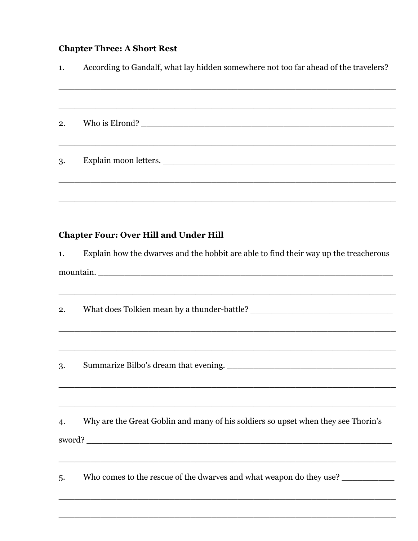# **Chapter Three: A Short Rest**

| 1. | According to Gandalf, what lay hidden somewhere not too far ahead of the travelers?  |
|----|--------------------------------------------------------------------------------------|
|    |                                                                                      |
| 2. |                                                                                      |
| 3. |                                                                                      |
|    |                                                                                      |
|    |                                                                                      |
|    | <b>Chapter Four: Over Hill and Under Hill</b>                                        |
| 1. | Explain how the dwarves and the hobbit are able to find their way up the treacherous |
|    | mountain.                                                                            |
|    |                                                                                      |
| 2. |                                                                                      |
|    |                                                                                      |
| 3. |                                                                                      |
|    |                                                                                      |
| 4. | Why are the Great Goblin and many of his soldiers so upset when they see Thorin's    |
|    |                                                                                      |
| 5. | Who comes to the rescue of the dwarves and what weapon do they use?                  |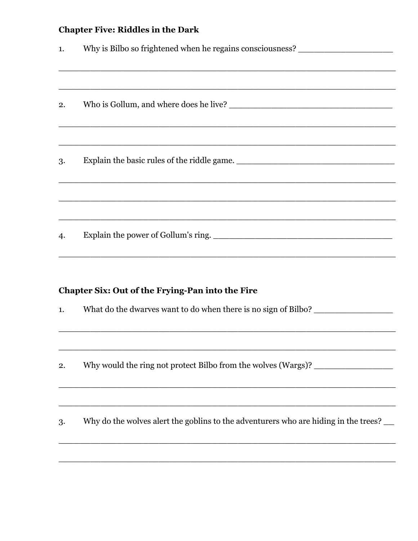# **Chapter Five: Riddles in the Dark**

| 1. | Why is Bilbo so frightened when he regains consciousness? _______________________                                    |
|----|----------------------------------------------------------------------------------------------------------------------|
|    |                                                                                                                      |
| 2. |                                                                                                                      |
|    | <u> 1989 - Johann Barn, amerikan bernama di sebagai bernama dalam bernama dalam bernama dalam bernama dalam bern</u> |
| 3. |                                                                                                                      |
|    |                                                                                                                      |
| 4. |                                                                                                                      |
|    |                                                                                                                      |
|    | <b>Chapter Six: Out of the Frying-Pan into the Fire</b>                                                              |
| 1. | What do the dwarves want to do when there is no sign of Bilbo? __________________                                    |

Why would the ring not protect Bilbo from the wolves (Wargs)? \_\_\_\_\_\_\_\_\_\_\_\_\_\_\_\_\_\_  $2.$ 

Why do the wolves alert the goblins to the adventurers who are hiding in the trees? \_\_ 3.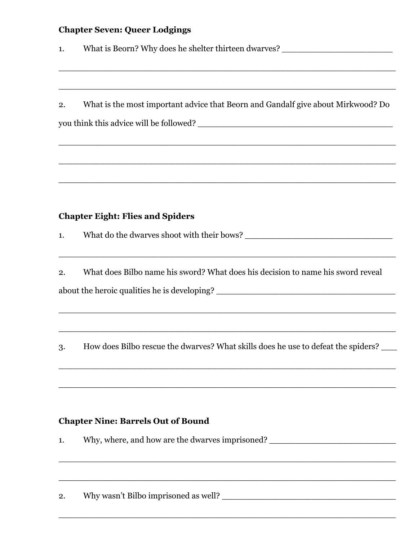### **Chapter Seven: Queer Lodgings**

1. What is Beorn? Why does he shelter thirteen dwarves?

2. What is the most important advice that Beorn and Gandalf give about Mirkwood? Do you think this advice will be followed?

\_\_\_\_\_\_\_\_\_\_\_\_\_\_\_\_\_\_\_\_\_\_\_\_\_\_\_\_\_\_\_\_\_\_\_\_\_\_\_\_\_\_\_\_\_\_\_\_\_\_\_\_\_\_\_\_\_\_\_\_\_\_\_\_

\_\_\_\_\_\_\_\_\_\_\_\_\_\_\_\_\_\_\_\_\_\_\_\_\_\_\_\_\_\_\_\_\_\_\_\_\_\_\_\_\_\_\_\_\_\_\_\_\_\_\_\_\_\_\_\_\_\_\_\_\_\_\_\_

\_\_\_\_\_\_\_\_\_\_\_\_\_\_\_\_\_\_\_\_\_\_\_\_\_\_\_\_\_\_\_\_\_\_\_\_\_\_\_\_\_\_\_\_\_\_\_\_\_\_\_\_\_\_\_\_\_\_\_\_\_\_\_\_

\_\_\_\_\_\_\_\_\_\_\_\_\_\_\_\_\_\_\_\_\_\_\_\_\_\_\_\_\_\_\_\_\_\_\_\_\_\_\_\_\_\_\_\_\_\_\_\_\_\_\_\_\_\_\_\_\_\_\_\_\_\_\_\_

\_\_\_\_\_\_\_\_\_\_\_\_\_\_\_\_\_\_\_\_\_\_\_\_\_\_\_\_\_\_\_\_\_\_\_\_\_\_\_\_\_\_\_\_\_\_\_\_\_\_\_\_\_\_\_\_\_\_\_\_\_\_\_\_

## **Chapter Eight: Flies and Spiders**

1. What do the dwarves shoot with their bows? \_\_\_\_\_\_\_\_\_\_\_\_\_\_\_\_\_\_\_\_\_\_\_\_\_\_\_\_\_\_\_\_\_\_

2. What does Bilbo name his sword? What does his decision to name his sword reveal about the heroic qualities he is developing?

\_\_\_\_\_\_\_\_\_\_\_\_\_\_\_\_\_\_\_\_\_\_\_\_\_\_\_\_\_\_\_\_\_\_\_\_\_\_\_\_\_\_\_\_\_\_\_\_\_\_\_\_\_\_\_\_\_\_\_\_\_\_\_\_

\_\_\_\_\_\_\_\_\_\_\_\_\_\_\_\_\_\_\_\_\_\_\_\_\_\_\_\_\_\_\_\_\_\_\_\_\_\_\_\_\_\_\_\_\_\_\_\_\_\_\_\_\_\_\_\_\_\_\_\_\_\_\_\_

\_\_\_\_\_\_\_\_\_\_\_\_\_\_\_\_\_\_\_\_\_\_\_\_\_\_\_\_\_\_\_\_\_\_\_\_\_\_\_\_\_\_\_\_\_\_\_\_\_\_\_\_\_\_\_\_\_\_\_\_\_\_\_\_

\_\_\_\_\_\_\_\_\_\_\_\_\_\_\_\_\_\_\_\_\_\_\_\_\_\_\_\_\_\_\_\_\_\_\_\_\_\_\_\_\_\_\_\_\_\_\_\_\_\_\_\_\_\_\_\_\_\_\_\_\_\_\_\_

\_\_\_\_\_\_\_\_\_\_\_\_\_\_\_\_\_\_\_\_\_\_\_\_\_\_\_\_\_\_\_\_\_\_\_\_\_\_\_\_\_\_\_\_\_\_\_\_\_\_\_\_\_\_\_\_\_\_\_\_\_\_\_\_

\_\_\_\_\_\_\_\_\_\_\_\_\_\_\_\_\_\_\_\_\_\_\_\_\_\_\_\_\_\_\_\_\_\_\_\_\_\_\_\_\_\_\_\_\_\_\_\_\_\_\_\_\_\_\_\_\_\_\_\_\_\_\_\_

\_\_\_\_\_\_\_\_\_\_\_\_\_\_\_\_\_\_\_\_\_\_\_\_\_\_\_\_\_\_\_\_\_\_\_\_\_\_\_\_\_\_\_\_\_\_\_\_\_\_\_\_\_\_\_\_\_\_\_\_\_\_\_\_

\_\_\_\_\_\_\_\_\_\_\_\_\_\_\_\_\_\_\_\_\_\_\_\_\_\_\_\_\_\_\_\_\_\_\_\_\_\_\_\_\_\_\_\_\_\_\_\_\_\_\_\_\_\_\_\_\_\_\_\_\_\_\_\_

3. How does Bilbo rescue the dwarves? What skills does he use to defeat the spiders?

#### **Chapter Nine: Barrels Out of Bound**

1. Why, where, and how are the dwarves imprisoned?

2. Why wasn't Bilbo imprisoned as well?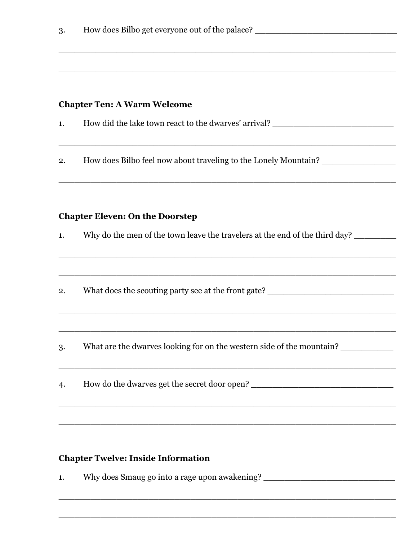#### **Chapter Ten: A Warm Welcome**

1. How did the lake town react to the dwarves' arrival?

2. How does Bilbo feel now about traveling to the Lonely Mountain? \_\_\_\_\_\_\_\_\_\_\_\_\_

### **Chapter Eleven: On the Doorstep**

1. Why do the men of the town leave the travelers at the end of the third day?

\_\_\_\_\_\_\_\_\_\_\_\_\_\_\_\_\_\_\_\_\_\_\_\_\_\_\_\_\_\_\_\_\_\_\_\_\_\_\_\_\_\_\_\_\_\_\_\_\_\_\_\_\_\_\_\_\_\_\_\_\_\_\_\_

\_\_\_\_\_\_\_\_\_\_\_\_\_\_\_\_\_\_\_\_\_\_\_\_\_\_\_\_\_\_\_\_\_\_\_\_\_\_\_\_\_\_\_\_\_\_\_\_\_\_\_\_\_\_\_\_\_\_\_\_\_\_\_\_

\_\_\_\_\_\_\_\_\_\_\_\_\_\_\_\_\_\_\_\_\_\_\_\_\_\_\_\_\_\_\_\_\_\_\_\_\_\_\_\_\_\_\_\_\_\_\_\_\_\_\_\_\_\_\_\_\_\_\_\_\_\_\_\_

\_\_\_\_\_\_\_\_\_\_\_\_\_\_\_\_\_\_\_\_\_\_\_\_\_\_\_\_\_\_\_\_\_\_\_\_\_\_\_\_\_\_\_\_\_\_\_\_\_\_\_\_\_\_\_\_\_\_\_\_\_\_\_\_

\_\_\_\_\_\_\_\_\_\_\_\_\_\_\_\_\_\_\_\_\_\_\_\_\_\_\_\_\_\_\_\_\_\_\_\_\_\_\_\_\_\_\_\_\_\_\_\_\_\_\_\_\_\_\_\_\_\_\_\_\_\_\_\_

\_\_\_\_\_\_\_\_\_\_\_\_\_\_\_\_\_\_\_\_\_\_\_\_\_\_\_\_\_\_\_\_\_\_\_\_\_\_\_\_\_\_\_\_\_\_\_\_\_\_\_\_\_\_\_\_\_\_\_\_\_\_\_\_

\_\_\_\_\_\_\_\_\_\_\_\_\_\_\_\_\_\_\_\_\_\_\_\_\_\_\_\_\_\_\_\_\_\_\_\_\_\_\_\_\_\_\_\_\_\_\_\_\_\_\_\_\_\_\_\_\_\_\_\_\_\_\_\_

\_\_\_\_\_\_\_\_\_\_\_\_\_\_\_\_\_\_\_\_\_\_\_\_\_\_\_\_\_\_\_\_\_\_\_\_\_\_\_\_\_\_\_\_\_\_\_\_\_\_\_\_\_\_\_\_\_\_\_\_\_\_\_\_

\_\_\_\_\_\_\_\_\_\_\_\_\_\_\_\_\_\_\_\_\_\_\_\_\_\_\_\_\_\_\_\_\_\_\_\_\_\_\_\_\_\_\_\_\_\_\_\_\_\_\_\_\_\_\_\_\_\_\_\_\_\_\_\_

\_\_\_\_\_\_\_\_\_\_\_\_\_\_\_\_\_\_\_\_\_\_\_\_\_\_\_\_\_\_\_\_\_\_\_\_\_\_\_\_\_\_\_\_\_\_\_\_\_\_\_\_\_\_\_\_\_\_\_\_\_\_\_\_

\_\_\_\_\_\_\_\_\_\_\_\_\_\_\_\_\_\_\_\_\_\_\_\_\_\_\_\_\_\_\_\_\_\_\_\_\_\_\_\_\_\_\_\_\_\_\_\_\_\_\_\_\_\_\_\_\_\_\_\_\_\_\_\_

\_\_\_\_\_\_\_\_\_\_\_\_\_\_\_\_\_\_\_\_\_\_\_\_\_\_\_\_\_\_\_\_\_\_\_\_\_\_\_\_\_\_\_\_\_\_\_\_\_\_\_\_\_\_\_\_\_\_\_\_\_\_\_\_

\_\_\_\_\_\_\_\_\_\_\_\_\_\_\_\_\_\_\_\_\_\_\_\_\_\_\_\_\_\_\_\_\_\_\_\_\_\_\_\_\_\_\_\_\_\_\_\_\_\_\_\_\_\_\_\_\_\_\_\_\_\_\_\_

2. What does the scouting party see at the front gate?

3. What are the dwarves looking for on the western side of the mountain?

4. How do the dwarves get the secret door open?

#### **Chapter Twelve: Inside Information**

1. Why does Smaug go into a rage upon awakening? \_\_\_\_\_\_\_\_\_\_\_\_\_\_\_\_\_\_\_\_\_\_\_\_\_\_\_\_\_\_\_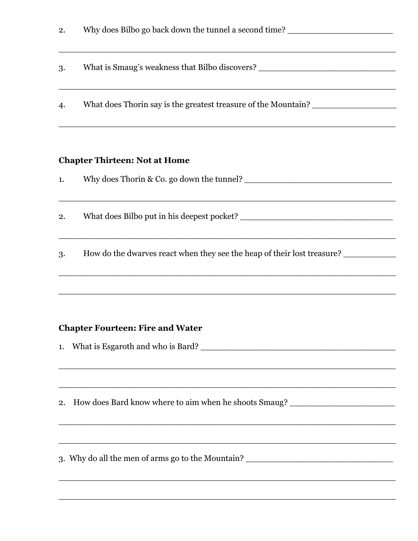| 2. | Why does Bilbo go back down the tunnel a second time? ___________________________                                                                                                                         |
|----|-----------------------------------------------------------------------------------------------------------------------------------------------------------------------------------------------------------|
| 3. | <u> 1989 - Johann Barn, amerikan bandar basar basa dalam basa dalam basa dalam basa dalam basa dalam basa dalam b</u><br>What is Smaug's weakness that Bilbo discovers? _________________________________ |
| 4. | What does Thorin say is the greatest treasure of the Mountain? __________________<br>,我们也不能在这里的人,我们也不能在这里的人,我们也不能不能不能不能不能不能不能不能不能不能不能不能不能不能。""我们的人,我们也不能不能不能不能不能不能不能不                                     |
|    | <b>Chapter Thirteen: Not at Home</b>                                                                                                                                                                      |
| 1. |                                                                                                                                                                                                           |
| 2. |                                                                                                                                                                                                           |
| 3. | How do the dwarves react when they see the heap of their lost treasure?<br><u> 1989 - John Barnett, fransk politik (d. 1989)</u>                                                                          |
| 1. | <b>Chapter Fourteen: Fire and Water</b>                                                                                                                                                                   |
|    | 2. How does Bard know where to aim when he shoots Smaug? _______________________                                                                                                                          |
|    | <u> 1989 - Johann Barbara, marka marka masjid a shekara ta 1989 - An tsara ta 1989 - An tsara ta 1989 - An tsara</u><br>3. Why do all the men of arms go to the Mountain? _______________________________ |
|    |                                                                                                                                                                                                           |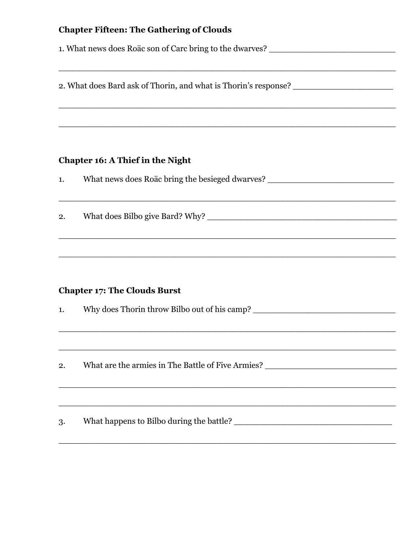## **Chapter Fifteen: The Gathering of Clouds**

|  | 1. What news does Roäc son of Carc bring to the dwarves? |  |
|--|----------------------------------------------------------|--|
|  |                                                          |  |

2. What does Bard ask of Thorin, and what is Thorin's response? \_\_\_\_\_\_\_\_\_\_\_\_\_\_\_\_\_

## **Chapter 16: A Thief in the Night**

| 1. | What news does Roäc bring the besieged dwarves? |
|----|-------------------------------------------------|
| 2. |                                                 |
|    |                                                 |

<u> 1989 - Johann Stoff, amerikansk politiker (d. 1989)</u>

# **Chapter 17: The Clouds Burst**

Why does Thorin throw Bilbo out of his camp?  $1.$ 

What are the armies in The Battle of Five Armies?  $2.$ 

#### $3.$